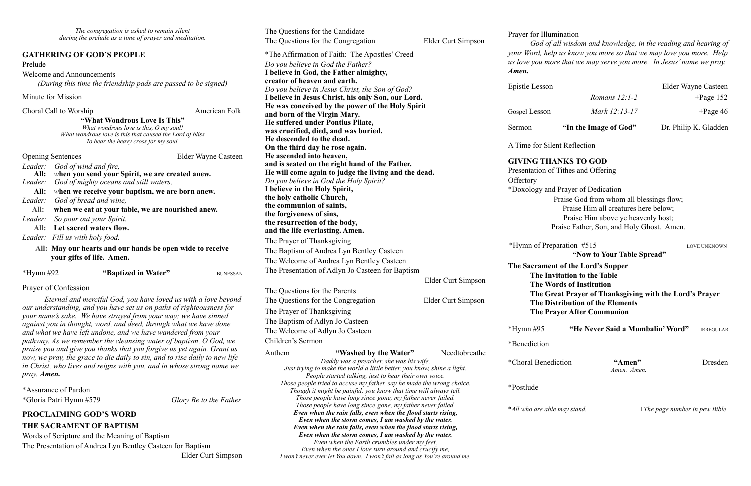*God of all wisdom and knowledge, in the reading and hearing of your Word, help us know you more so that we may love you more. Help*  more that we may serve you more. In Jesus' name we pray.

and Prayer of Dedication Praise God from whom all blessings flow; Praise Him all creatures here below; Praise Him above ye heavenly host; Praise Father, Son, and Holy Ghost. Amen.

Preparation #515 LOVE UNKNOWN **"Now to Your Table Spread"** 

**The Same Supper in the Lord's Supper Invitation to the Table Words of Institution Great Prayer of Thanksgiving with the Lord's Prayer Distribution of the Elements Prayer After Communion** 

"He Never Said a Mumbalin' Word" **IRREGULAR** 

 $*A$ men" Dresden  *Amen. Amen.* 

| The congregation is asked to remain silent<br>during the prelude as a time of prayer and meditation.                                                                      |                                                                        |                        |                                                                                                                                     | The Questions for the Candidate<br>The Questions for the Congregation | Elder Curt Simpson | Prayer for Illu<br>God of |
|---------------------------------------------------------------------------------------------------------------------------------------------------------------------------|------------------------------------------------------------------------|------------------------|-------------------------------------------------------------------------------------------------------------------------------------|-----------------------------------------------------------------------|--------------------|---------------------------|
| <b>GATHERING OF GOD'S PEOPLE</b>                                                                                                                                          |                                                                        |                        | *The Affirmation of Faith: The Apostles' Creed                                                                                      |                                                                       | your Word, he      |                           |
| Prelude                                                                                                                                                                   |                                                                        |                        |                                                                                                                                     | Do you believe in God the Father?                                     |                    | us love you me            |
| <b>Welcome and Announcements</b>                                                                                                                                          |                                                                        |                        |                                                                                                                                     | I believe in God, the Father almighty,                                |                    | Amen.                     |
|                                                                                                                                                                           | (During this time the friendship pads are passed to be signed)         |                        |                                                                                                                                     | creator of heaven and earth.                                          |                    |                           |
|                                                                                                                                                                           |                                                                        |                        | Do you believe in Jesus Christ, the Son of God?                                                                                     |                                                                       | Epistle Lessor     |                           |
| Minute for Mission                                                                                                                                                        |                                                                        |                        |                                                                                                                                     | I believe in Jesus Christ, his only Son, our Lord.                    |                    |                           |
| Choral Call to Worship                                                                                                                                                    |                                                                        | American Folk          |                                                                                                                                     | He was conceived by the power of the Holy Spirit                      |                    |                           |
|                                                                                                                                                                           |                                                                        |                        |                                                                                                                                     | and born of the Virgin Mary.                                          |                    | Gospel Lesson             |
| "What Wondrous Love Is This"<br>What wondrous love is this, O my soul!                                                                                                    |                                                                        |                        |                                                                                                                                     | He suffered under Pontius Pilate,                                     |                    | Sermon                    |
| What wondrous love is this that caused the Lord of bliss                                                                                                                  |                                                                        |                        |                                                                                                                                     | was crucified, died, and was buried.                                  |                    |                           |
|                                                                                                                                                                           | To bear the heavy cross for my soul.                                   |                        | He descended to the dead.                                                                                                           |                                                                       | A Time for Si      |                           |
|                                                                                                                                                                           |                                                                        |                        |                                                                                                                                     | On the third day he rose again.                                       |                    |                           |
| <b>Opening Sentences</b>                                                                                                                                                  |                                                                        | Elder Wayne Casteen    | He ascended into heaven,                                                                                                            |                                                                       |                    | <b>GIVING TH</b>          |
| God of wind and fire,<br>Leader:                                                                                                                                          |                                                                        |                        | and is seated on the right hand of the Father.                                                                                      |                                                                       | Presentation of    |                           |
| All:                                                                                                                                                                      | when you send your Spirit, we are created anew.                        |                        | He will come again to judge the living and the dead.<br>Do you believe in God the Holy Spirit?                                      |                                                                       | Offertory          |                           |
| Leader:                                                                                                                                                                   | God of mighty oceans and still waters,                                 |                        |                                                                                                                                     | I believe in the Holy Spirit,                                         |                    |                           |
| when we receive your baptism, we are born anew.<br>All:                                                                                                                   |                                                                        |                        | the holy catholic Church,                                                                                                           |                                                                       |                    | *Doxology an              |
| God of bread and wine,<br>Leader:                                                                                                                                         |                                                                        |                        | the communion of saints,                                                                                                            |                                                                       |                    |                           |
| All:<br>when we eat at your table, we are nourished anew.                                                                                                                 |                                                                        |                        | the forgiveness of sins,                                                                                                            |                                                                       |                    |                           |
| So pour out your Spirit.<br>Leader:                                                                                                                                       |                                                                        |                        |                                                                                                                                     | the resurrection of the body,                                         |                    |                           |
| Let sacred waters flow.<br>All:                                                                                                                                           |                                                                        |                        | and the life everlasting. Amen.                                                                                                     |                                                                       |                    |                           |
| Leader: Fill us with holy food.                                                                                                                                           |                                                                        |                        | The Prayer of Thanksgiving                                                                                                          |                                                                       |                    |                           |
|                                                                                                                                                                           | All: May our hearts and our hands be open wide to receive              |                        | The Baptism of Andrea Lyn Bentley Casteen                                                                                           |                                                                       | *Hymn of Pre       |                           |
| your gifts of life. Amen.                                                                                                                                                 |                                                                        |                        | The Welcome of Andrea Lyn Bentley Casteen                                                                                           |                                                                       |                    |                           |
|                                                                                                                                                                           |                                                                        |                        |                                                                                                                                     |                                                                       |                    | <b>The Sacrame</b>        |
| $*Hymn \#92$                                                                                                                                                              | "Baptized in Water"                                                    | <b>BUNESSAN</b>        |                                                                                                                                     | The Presentation of Adlyn Jo Casteen for Baptism                      |                    | The In                    |
|                                                                                                                                                                           |                                                                        |                        |                                                                                                                                     |                                                                       | Elder Curt Simpson | The W                     |
| Prayer of Confession                                                                                                                                                      |                                                                        |                        |                                                                                                                                     | The Questions for the Parents                                         |                    | The G                     |
| Eternal and merciful God, you have loved us with a love beyond                                                                                                            |                                                                        |                        |                                                                                                                                     | The Questions for the Congregation                                    | Elder Curt Simpson | The D                     |
|                                                                                                                                                                           | our understanding, and you have set us on paths of righteousness for   |                        | The Prayer of Thanksgiving<br>The Baptism of Adlyn Jo Casteen                                                                       |                                                                       |                    | The Pi                    |
|                                                                                                                                                                           | your name's sake. We have strayed from your way; we have sinned        |                        |                                                                                                                                     |                                                                       |                    |                           |
|                                                                                                                                                                           | against you in thought, word, and deed, through what we have done      |                        | The Welcome of Adlyn Jo Casteen                                                                                                     |                                                                       | $*Hymn \#95$       |                           |
|                                                                                                                                                                           | and what we have left undone, and we have wandered from your           |                        | Children's Sermon                                                                                                                   |                                                                       |                    |                           |
|                                                                                                                                                                           | pathway. As we remember the cleansing water of baptism, O God, we      |                        |                                                                                                                                     |                                                                       | *Benediction       |                           |
|                                                                                                                                                                           | praise you and give you thanks that you forgive us yet again. Grant us |                        | Anthem                                                                                                                              | "Washed by the Water"                                                 | Needtobreathe      |                           |
| now, we pray, the grace to die daily to sin, and to rise daily to new life<br>in Christ, who lives and reigns with you, and in whose strong name we<br>pray. <b>Amen.</b> |                                                                        |                        |                                                                                                                                     | Daddy was a preacher, she was his wife,                               |                    | *Choral Bene              |
|                                                                                                                                                                           |                                                                        |                        | Just trying to make the world a little better, you know, shine a light.<br>People started talking, just to hear their own voice.    |                                                                       |                    |                           |
|                                                                                                                                                                           |                                                                        |                        |                                                                                                                                     | Those people tried to accuse my father, say he made the wrong choice. |                    |                           |
| *Assurance of Pardon                                                                                                                                                      |                                                                        |                        |                                                                                                                                     | Though it might be painful, you know that time will always tell.      |                    | *Postlude                 |
| *Gloria Patri Hymn #579                                                                                                                                                   |                                                                        | Glory Be to the Father |                                                                                                                                     | Those people have long since gone, my father never failed.            |                    |                           |
|                                                                                                                                                                           |                                                                        |                        | Those people have long since gone, my father never failed.                                                                          |                                                                       | *All who are ab    |                           |
| <b>PROCLAIMING GOD'S WORD</b>                                                                                                                                             |                                                                        |                        | Even when the rain falls, even when the flood starts rising,<br>Even when the storm comes, I am washed by the water.                |                                                                       |                    |                           |
| THE SACRAMENT OF BAPTISM                                                                                                                                                  |                                                                        |                        |                                                                                                                                     | Even when the rain falls, even when the flood starts rising,          |                    |                           |
| Words of Scripture and the Meaning of Baptism                                                                                                                             |                                                                        |                        |                                                                                                                                     | Even when the storm comes, I am washed by the water.                  |                    |                           |
| The Presentation of Andrea Lyn Bentley Casteen for Baptism                                                                                                                |                                                                        |                        |                                                                                                                                     | Even when the Earth crumbles under my feet,                           |                    |                           |
|                                                                                                                                                                           |                                                                        |                        | Even when the ones I love turn around and crucify me,<br>I won't never ever let You down. I won't fall as long as You're around me. |                                                                       |                    |                           |
| Elder Curt Simpson                                                                                                                                                        |                                                                        |                        |                                                                                                                                     |                                                                       |                    |                           |

**Ilumination** 

| Sermon         | "In the Image of God" | Dr. Philip K. Gladden |
|----------------|-----------------------|-----------------------|
| Gospel Lesson  | Mark 12:13-17         | $+$ Page 46           |
|                | Romans $12:1-2$       | $+$ Page 152          |
| Epistle Lesson |                       | Elder Wayne Casteen   |

**Silent Reflection** 

#### **HANKS TO GOD**

1 of Tithes and Offering

\**All who are able may stand. +The page number in pew Bible*